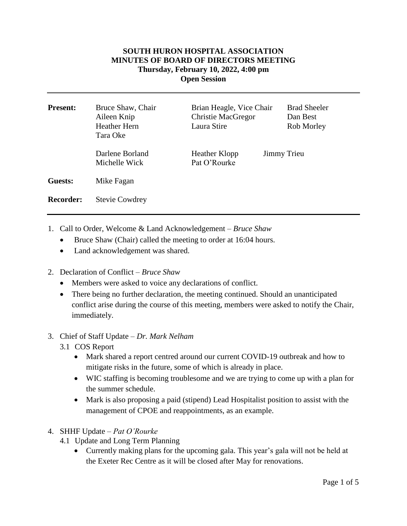## **SOUTH HURON HOSPITAL ASSOCIATION MINUTES OF BOARD OF DIRECTORS MEETING Thursday, February 10, 2022, 4:00 pm Open Session**

| <b>Present:</b>  | Bruce Shaw, Chair<br>Aileen Knip<br>Heather Hern<br>Tara Oke | Brian Heagle, Vice Chair<br><b>Christie MacGregor</b><br>Laura Stire |                    | <b>Brad Sheeler</b><br>Dan Best<br>Rob Morley |
|------------------|--------------------------------------------------------------|----------------------------------------------------------------------|--------------------|-----------------------------------------------|
|                  | Darlene Borland<br>Michelle Wick                             | Heather Klopp<br>Pat O'Rourke                                        | <b>Jimmy Trieu</b> |                                               |
| Guests:          | Mike Fagan                                                   |                                                                      |                    |                                               |
| <b>Recorder:</b> | <b>Stevie Cowdrey</b>                                        |                                                                      |                    |                                               |

- 1. Call to Order, Welcome & Land Acknowledgement *Bruce Shaw*
	- Bruce Shaw (Chair) called the meeting to order at 16:04 hours.
	- Land acknowledgement was shared.
- 2. Declaration of Conflict *– Bruce Shaw*
	- Members were asked to voice any declarations of conflict.
	- There being no further declaration, the meeting continued. Should an unanticipated conflict arise during the course of this meeting, members were asked to notify the Chair, immediately.
- 3. Chief of Staff Update *Dr. Mark Nelham*
	- 3.1 COS Report
		- Mark shared a report centred around our current COVID-19 outbreak and how to mitigate risks in the future, some of which is already in place.
		- WIC staffing is becoming troublesome and we are trying to come up with a plan for the summer schedule.
		- Mark is also proposing a paid (stipend) Lead Hospitalist position to assist with the management of CPOE and reappointments, as an example.
- 4. SHHF Update *Pat O'Rourke*
	- 4.1 Update and Long Term Planning
		- Currently making plans for the upcoming gala. This year's gala will not be held at the Exeter Rec Centre as it will be closed after May for renovations.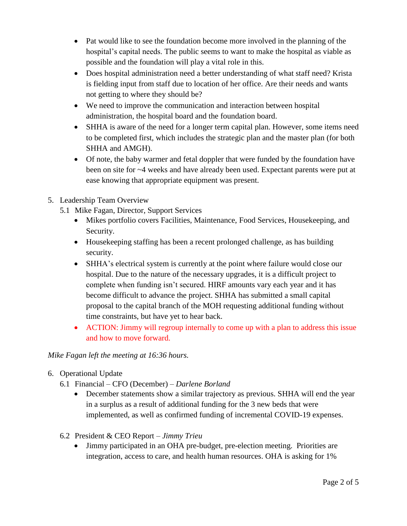- Pat would like to see the foundation become more involved in the planning of the hospital's capital needs. The public seems to want to make the hospital as viable as possible and the foundation will play a vital role in this.
- Does hospital administration need a better understanding of what staff need? Krista is fielding input from staff due to location of her office. Are their needs and wants not getting to where they should be?
- We need to improve the communication and interaction between hospital administration, the hospital board and the foundation board.
- SHHA is aware of the need for a longer term capital plan. However, some items need to be completed first, which includes the strategic plan and the master plan (for both SHHA and AMGH).
- Of note, the baby warmer and fetal doppler that were funded by the foundation have been on site for ~4 weeks and have already been used. Expectant parents were put at ease knowing that appropriate equipment was present.
- 5. Leadership Team Overview
	- 5.1 Mike Fagan, Director, Support Services
		- Mikes portfolio covers Facilities, Maintenance, Food Services, Housekeeping, and Security.
		- Housekeeping staffing has been a recent prolonged challenge, as has building security.
		- SHHA's electrical system is currently at the point where failure would close our hospital. Due to the nature of the necessary upgrades, it is a difficult project to complete when funding isn't secured. HIRF amounts vary each year and it has become difficult to advance the project. SHHA has submitted a small capital proposal to the capital branch of the MOH requesting additional funding without time constraints, but have yet to hear back.
		- ACTION: Jimmy will regroup internally to come up with a plan to address this issue and how to move forward.

*Mike Fagan left the meeting at 16:36 hours.* 

- 6. Operational Update
	- 6.1 Financial CFO (December) *Darlene Borland*
		- December statements show a similar trajectory as previous. SHHA will end the year in a surplus as a result of additional funding for the 3 new beds that were implemented, as well as confirmed funding of incremental COVID-19 expenses.
	- 6.2 President & CEO Report *Jimmy Trieu*
		- Jimmy participated in an OHA pre-budget, pre-election meeting. Priorities are integration, access to care, and health human resources. OHA is asking for 1%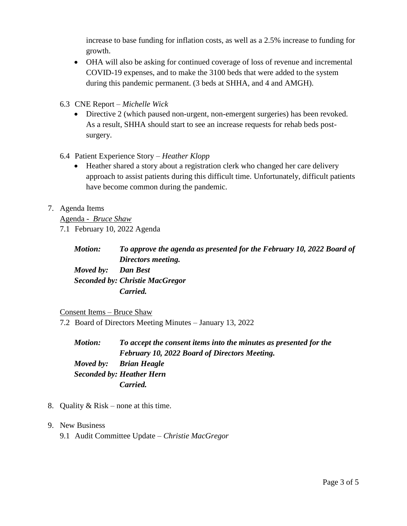increase to base funding for inflation costs, as well as a 2.5% increase to funding for growth.

- OHA will also be asking for continued coverage of loss of revenue and incremental COVID-19 expenses, and to make the 3100 beds that were added to the system during this pandemic permanent. (3 beds at SHHA, and 4 and AMGH).
- 6.3 CNE Report *Michelle Wick*
	- Directive 2 (which paused non-urgent, non-emergent surgeries) has been revoked. As a result, SHHA should start to see an increase requests for rehab beds postsurgery.
- 6.4 Patient Experience Story *Heather Klopp*
	- Heather shared a story about a registration clerk who changed her care delivery approach to assist patients during this difficult time. Unfortunately, difficult patients have become common during the pandemic.

## 7. Agenda Items

Agenda - *Bruce Shaw*

7.1 February 10, 2022 Agenda

*Motion: To approve the agenda as presented for the February 10, 2022 Board of Directors meeting. Moved by: Dan Best Seconded by: Christie MacGregor Carried.*

## Consent Items – Bruce Shaw

7.2 Board of Directors Meeting Minutes – January 13, 2022

*Motion: To accept the consent items into the minutes as presented for the February 10, 2022 Board of Directors Meeting. Moved by: Brian Heagle Seconded by: Heather Hern Carried.*

- 8. Quality  $& Risk none$  at this time.
- 9. New Business
	- 9.1 Audit Committee Update *Christie MacGregor*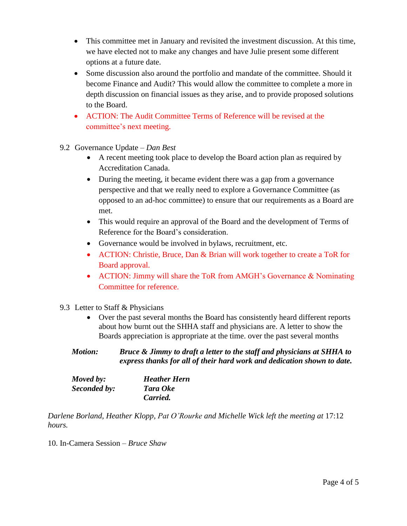- This committee met in January and revisited the investment discussion. At this time, we have elected not to make any changes and have Julie present some different options at a future date.
- Some discussion also around the portfolio and mandate of the committee. Should it become Finance and Audit? This would allow the committee to complete a more in depth discussion on financial issues as they arise, and to provide proposed solutions to the Board.
- ACTION: The Audit Committee Terms of Reference will be revised at the committee's next meeting.
- 9.2 Governance Update *Dan Best*
	- A recent meeting took place to develop the Board action plan as required by Accreditation Canada.
	- During the meeting, it became evident there was a gap from a governance perspective and that we really need to explore a Governance Committee (as opposed to an ad-hoc committee) to ensure that our requirements as a Board are met.
	- This would require an approval of the Board and the development of Terms of Reference for the Board's consideration.
	- Governance would be involved in bylaws, recruitment, etc.
	- ACTION: Christie, Bruce, Dan & Brian will work together to create a ToR for Board approval.
	- ACTION: Jimmy will share the ToR from AMGH's Governance & Nominating Committee for reference.
- 9.3 Letter to Staff & Physicians
	- Over the past several months the Board has consistently heard different reports about how burnt out the SHHA staff and physicians are. A letter to show the Boards appreciation is appropriate at the time. over the past several months
	- *Motion: Bruce & Jimmy to draft a letter to the staff and physicians at SHHA to express thanks for all of their hard work and dedication shown to date.*

| Moved by:    | <b>Heather Hern</b> |  |
|--------------|---------------------|--|
| Seconded by: | Tara Oke            |  |
|              | Carried.            |  |

*Darlene Borland, Heather Klopp, Pat O'Rourke and Michelle Wick left the meeting at* 17:12 *hours.*

10. In-Camera Session *– Bruce Shaw*